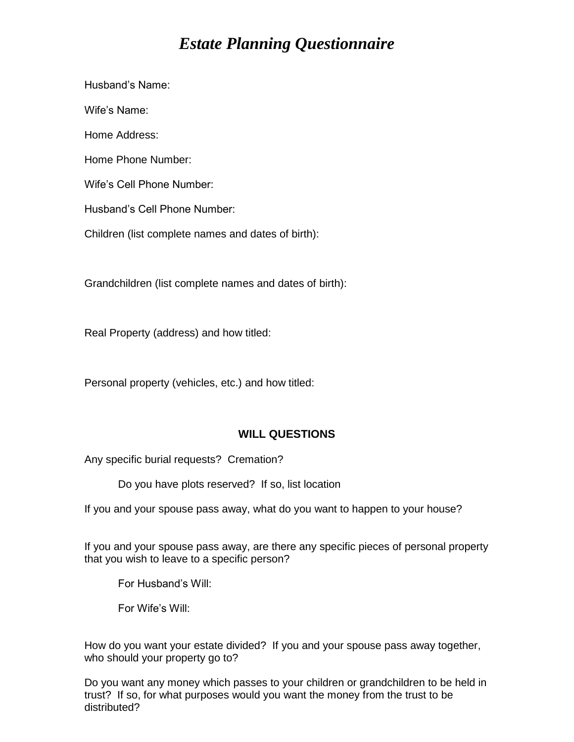# *Estate Planning Questionnaire*

Husband's Name: Wife's Name: Home Address: Home Phone Number: Wife's Cell Phone Number: Husband's Cell Phone Number: Children (list complete names and dates of birth):

Grandchildren (list complete names and dates of birth):

Real Property (address) and how titled:

Personal property (vehicles, etc.) and how titled:

#### **WILL QUESTIONS**

Any specific burial requests? Cremation?

Do you have plots reserved? If so, list location

If you and your spouse pass away, what do you want to happen to your house?

If you and your spouse pass away, are there any specific pieces of personal property that you wish to leave to a specific person?

For Husband's Will:

For Wife's Will:

How do you want your estate divided? If you and your spouse pass away together, who should your property go to?

Do you want any money which passes to your children or grandchildren to be held in trust? If so, for what purposes would you want the money from the trust to be distributed?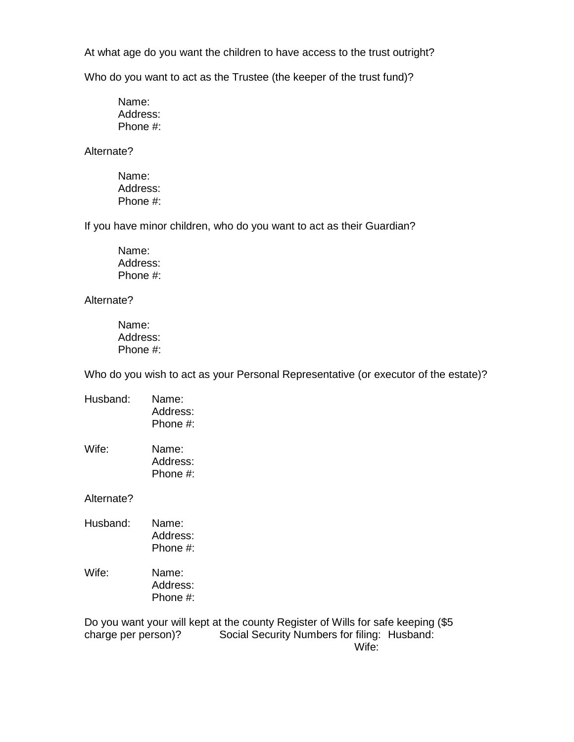At what age do you want the children to have access to the trust outright?

Who do you want to act as the Trustee (the keeper of the trust fund)?

Name: Address: Phone #:

Alternate?

Name: Address: Phone #:

If you have minor children, who do you want to act as their Guardian?

Name: Address: Phone #:

Alternate?

Name: Address: Phone #:

Who do you wish to act as your Personal Representative (or executor of the estate)?

| Husband: | Name:    |
|----------|----------|
|          | Address: |
|          | Phone #: |
|          |          |

Wife: Name: Address: Phone #:

Alternate?

| Husband: | Name:        |
|----------|--------------|
|          | Address:     |
|          | Phone $\#$ : |
|          |              |

Wife: Name: Address: Phone #:

Do you want your will kept at the county Register of Wills for safe keeping (\$5 charge per person)? Social Security Numbers for filing: Husband: Wife: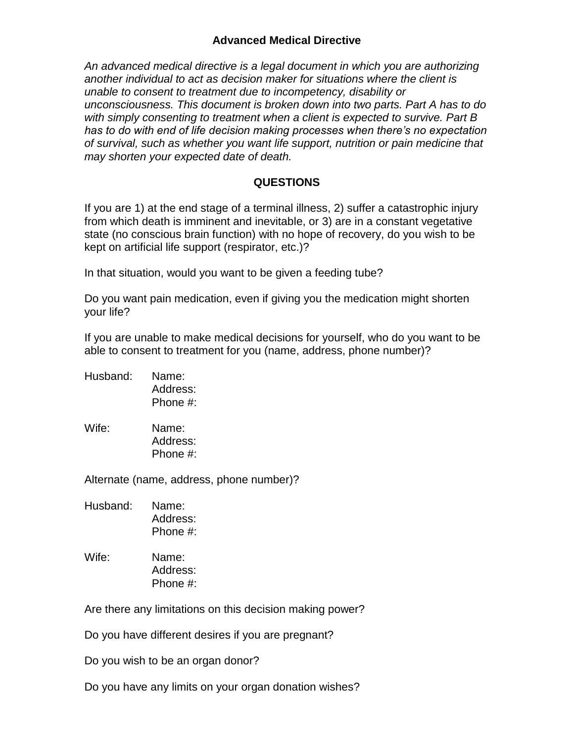### **Advanced Medical Directive**

*An advanced medical directive is a legal document in which you are authorizing another individual to act as decision maker for situations where the client is unable to consent to treatment due to incompetency, disability or unconsciousness. This document is broken down into two parts. Part A has to do with simply consenting to treatment when a client is expected to survive. Part B has to do with end of life decision making processes when there's no expectation of survival, such as whether you want life support, nutrition or pain medicine that may shorten your expected date of death.*

#### **QUESTIONS**

If you are 1) at the end stage of a terminal illness, 2) suffer a catastrophic injury from which death is imminent and inevitable, or 3) are in a constant vegetative state (no conscious brain function) with no hope of recovery, do you wish to be kept on artificial life support (respirator, etc.)?

In that situation, would you want to be given a feeding tube?

Do you want pain medication, even if giving you the medication might shorten your life?

If you are unable to make medical decisions for yourself, who do you want to be able to consent to treatment for you (name, address, phone number)?

| Husband: | Name:       |
|----------|-------------|
|          | Address:    |
|          | Phone $#$ : |

Wife: Name: Address: Phone #:

Alternate (name, address, phone number)?

- Husband: Name: Address: Phone #:
- Wife: Name: Address: Phone #:

Are there any limitations on this decision making power?

Do you have different desires if you are pregnant?

Do you wish to be an organ donor?

Do you have any limits on your organ donation wishes?